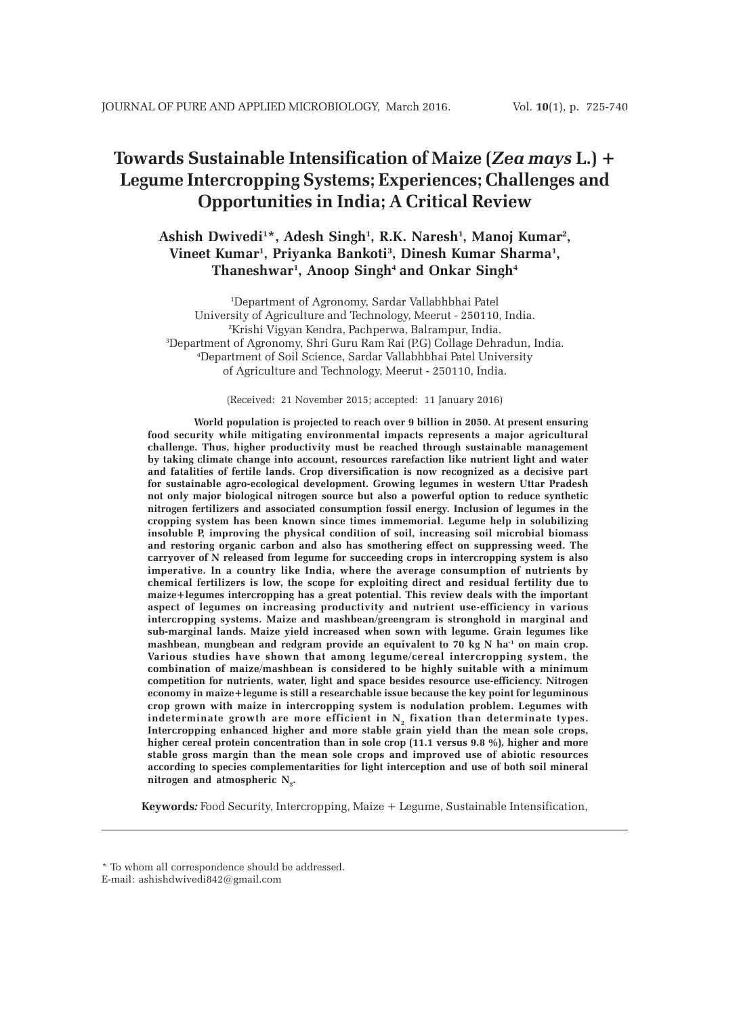# **Towards Sustainable Intensification of Maize (***Zea mays* **L.) + Legume Intercropping Systems; Experiences; Challenges and Opportunities in India; A Critical Review**

# Ashish Dwivedi<sup>1\*</sup>, Adesh Singh<sup>1</sup>, R.K. Naresh<sup>1</sup>, Manoj Kumar<sup>2</sup>, **Vineet Kumar1 , Priyanka Bankoti3 , Dinesh Kumar Sharma1 , Thaneshwar1 , Anoop Singh4 and Onkar Singh4**

 Department of Agronomy, Sardar Vallabhbhai Patel University of Agriculture and Technology, Meerut - 250110, India. Krishi Vigyan Kendra, Pachperwa, Balrampur, India. Department of Agronomy, Shri Guru Ram Rai (P.G) Collage Dehradun, India. Department of Soil Science, Sardar Vallabhbhai Patel University of Agriculture and Technology, Meerut - 250110, India.

(Received: 21 November 2015; accepted: 11 January 2016)

**World population is projected to reach over 9 billion in 2050. At present ensuring food security while mitigating environmental impacts represents a major agricultural challenge. Thus, higher productivity must be reached through sustainable management by taking climate change into account, resources rarefaction like nutrient light and water and fatalities of fertile lands. Crop diversification is now recognized as a decisive part for sustainable agro-ecological development. Growing legumes in western Uttar Pradesh not only major biological nitrogen source but also a powerful option to reduce synthetic nitrogen fertilizers and associated consumption fossil energy. Inclusion of legumes in the cropping system has been known since times immemorial. Legume help in solubilizing insoluble P, improving the physical condition of soil, increasing soil microbial biomass and restoring organic carbon and also has smothering effect on suppressing weed. The carryover of N released from legume for succeeding crops in intercropping system is also imperative. In a country like India, where the average consumption of nutrients by chemical fertilizers is low, the scope for exploiting direct and residual fertility due to maize+legumes intercropping has a great potential. This review deals with the important aspect of legumes on increasing productivity and nutrient use-efficiency in various intercropping systems. Maize and mashbean/greengram is stronghold in marginal and sub-marginal lands. Maize yield increased when sown with legume. Grain legumes like** mashbean, mungbean and redgram provide an equivalent to 70 kg N ha<sup>-1</sup> on main crop. **Various studies have shown that among legume/cereal intercropping system, the combination of maize/mashbean is considered to be highly suitable with a minimum competition for nutrients, water, light and space besides resource use-efficiency. Nitrogen economy in maize+legume is still a researchable issue because the key point for leguminous crop grown with maize in intercropping system is nodulation problem. Legumes with** indeterminate growth are more efficient in  $N<sub>2</sub>$  fixation than determinate types. **Intercropping enhanced higher and more stable grain yield than the mean sole crops, higher cereal protein concentration than in sole crop (11.1 versus 9.8 %), higher and more stable gross margin than the mean sole crops and improved use of abiotic resources according to species complementarities for light interception and use of both soil mineral**  $\mathbf{n}$  itrogen and atmospheric  $\mathbf{N}_2$ .

**Keywords***:* Food Security, Intercropping, Maize + Legume, Sustainable Intensification,

<sup>\*</sup> To whom all correspondence should be addressed. E-mail: ashishdwivedi842@gmail.com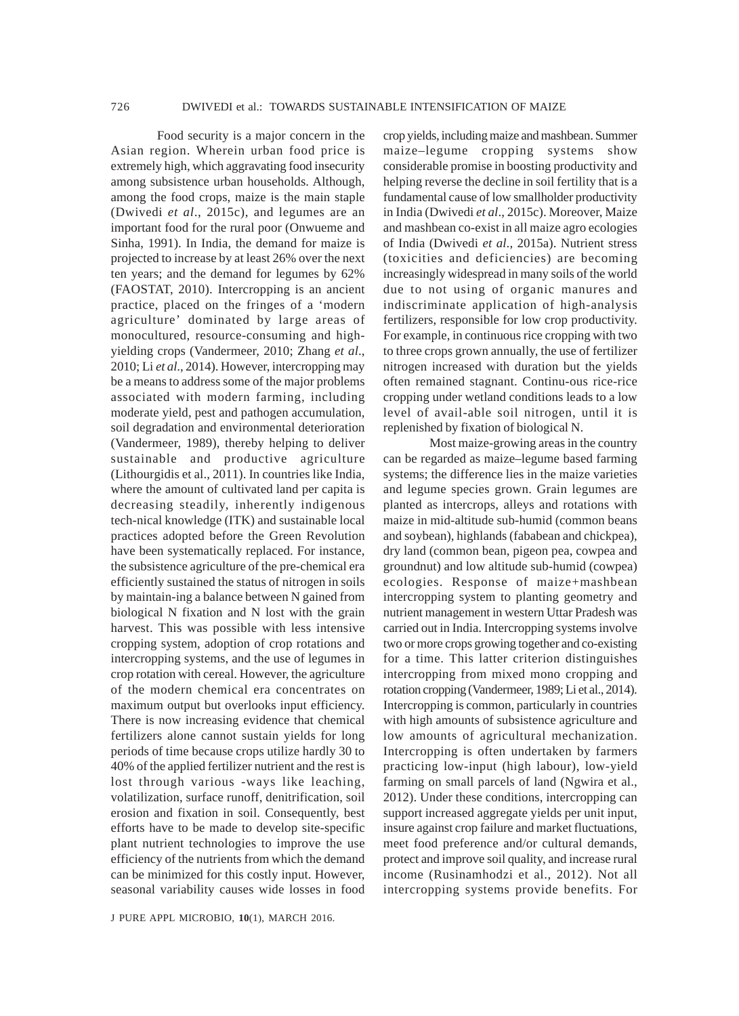Food security is a major concern in the Asian region. Wherein urban food price is extremely high, which aggravating food insecurity among subsistence urban households. Although, among the food crops, maize is the main staple (Dwivedi *et al*., 2015c), and legumes are an important food for the rural poor (Onwueme and Sinha, 1991). In India, the demand for maize is projected to increase by at least 26% over the next ten years; and the demand for legumes by 62% (FAOSTAT, 2010). Intercropping is an ancient practice, placed on the fringes of a 'modern agriculture' dominated by large areas of monocultured, resource-consuming and highyielding crops (Vandermeer, 2010; Zhang *et al*., 2010; Li *et al*., 2014). However, intercropping may be a means to address some of the major problems associated with modern farming, including moderate yield, pest and pathogen accumulation, soil degradation and environmental deterioration (Vandermeer, 1989), thereby helping to deliver sustainable and productive agriculture (Lithourgidis et al., 2011). In countries like India, where the amount of cultivated land per capita is decreasing steadily, inherently indigenous tech-nical knowledge (ITK) and sustainable local practices adopted before the Green Revolution have been systematically replaced. For instance, the subsistence agriculture of the pre-chemical era efficiently sustained the status of nitrogen in soils by maintain-ing a balance between N gained from biological N fixation and N lost with the grain harvest. This was possible with less intensive cropping system, adoption of crop rotations and intercropping systems, and the use of legumes in crop rotation with cereal. However, the agriculture of the modern chemical era concentrates on maximum output but overlooks input efficiency. There is now increasing evidence that chemical fertilizers alone cannot sustain yields for long periods of time because crops utilize hardly 30 to 40% of the applied fertilizer nutrient and the rest is lost through various -ways like leaching, volatilization, surface runoff, denitrification, soil erosion and fixation in soil. Consequently, best efforts have to be made to develop site-specific plant nutrient technologies to improve the use efficiency of the nutrients from which the demand can be minimized for this costly input. However, seasonal variability causes wide losses in food

J PURE APPL MICROBIO*,* **10**(1), MARCH 2016.

crop yields, including maize and mashbean. Summer maize–legume cropping systems show considerable promise in boosting productivity and helping reverse the decline in soil fertility that is a fundamental cause of low smallholder productivity in India (Dwivedi *et al*., 2015c). Moreover, Maize and mashbean co-exist in all maize agro ecologies of India (Dwivedi *et al*., 2015a). Nutrient stress (toxicities and deficiencies) are becoming increasingly widespread in many soils of the world due to not using of organic manures and indiscriminate application of high-analysis fertilizers, responsible for low crop productivity. For example, in continuous rice cropping with two to three crops grown annually, the use of fertilizer nitrogen increased with duration but the yields often remained stagnant. Continu-ous rice-rice cropping under wetland conditions leads to a low level of avail-able soil nitrogen, until it is replenished by fixation of biological N.

Most maize-growing areas in the country can be regarded as maize–legume based farming systems; the difference lies in the maize varieties and legume species grown. Grain legumes are planted as intercrops, alleys and rotations with maize in mid-altitude sub-humid (common beans and soybean), highlands (fababean and chickpea), dry land (common bean, pigeon pea, cowpea and groundnut) and low altitude sub-humid (cowpea) ecologies. Response of maize+mashbean intercropping system to planting geometry and nutrient management in western Uttar Pradesh was carried out in India. Intercropping systems involve two or more crops growing together and co-existing for a time. This latter criterion distinguishes intercropping from mixed mono cropping and rotation cropping (Vandermeer, 1989; Li et al., 2014). Intercropping is common, particularly in countries with high amounts of subsistence agriculture and low amounts of agricultural mechanization. Intercropping is often undertaken by farmers practicing low-input (high labour), low-yield farming on small parcels of land (Ngwira et al., 2012). Under these conditions, intercropping can support increased aggregate yields per unit input, insure against crop failure and market fluctuations, meet food preference and/or cultural demands, protect and improve soil quality, and increase rural income (Rusinamhodzi et al., 2012). Not all intercropping systems provide benefits. For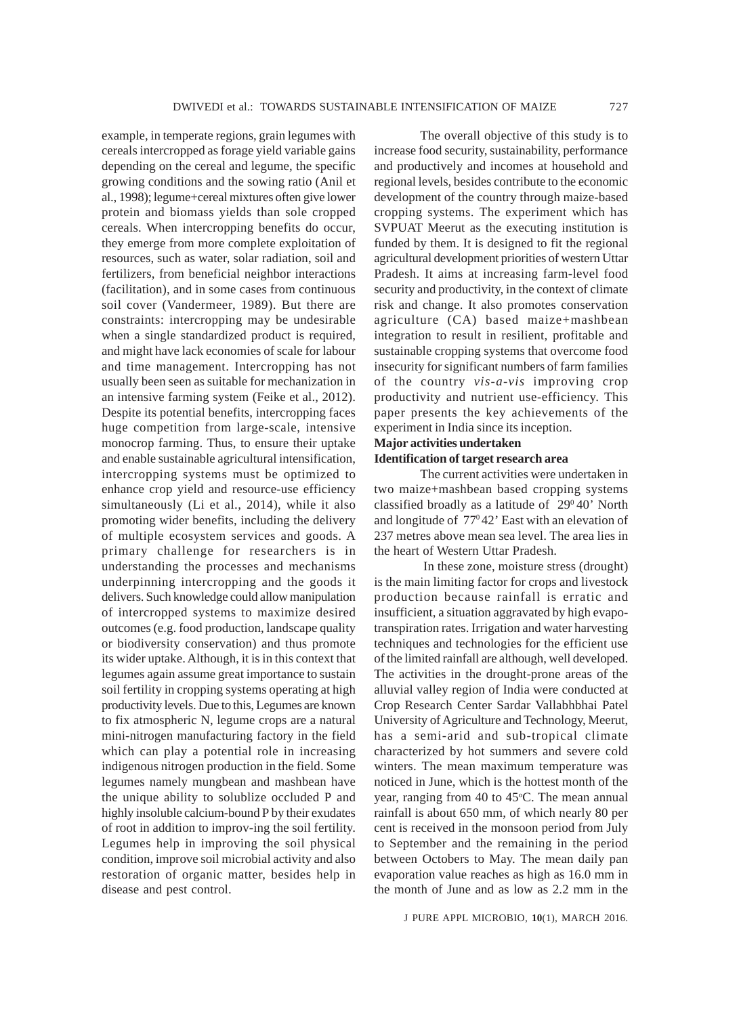example, in temperate regions, grain legumes with cereals intercropped as forage yield variable gains depending on the cereal and legume, the specific growing conditions and the sowing ratio (Anil et al., 1998); legume+cereal mixtures often give lower protein and biomass yields than sole cropped cereals. When intercropping benefits do occur, they emerge from more complete exploitation of resources, such as water, solar radiation, soil and fertilizers, from beneficial neighbor interactions (facilitation), and in some cases from continuous soil cover (Vandermeer, 1989). But there are constraints: intercropping may be undesirable when a single standardized product is required, and might have lack economies of scale for labour and time management. Intercropping has not usually been seen as suitable for mechanization in an intensive farming system (Feike et al., 2012). Despite its potential benefits, intercropping faces huge competition from large-scale, intensive monocrop farming. Thus, to ensure their uptake and enable sustainable agricultural intensification, intercropping systems must be optimized to enhance crop yield and resource-use efficiency simultaneously (Li et al., 2014), while it also promoting wider benefits, including the delivery of multiple ecosystem services and goods. A primary challenge for researchers is in understanding the processes and mechanisms underpinning intercropping and the goods it delivers. Such knowledge could allow manipulation of intercropped systems to maximize desired outcomes (e.g. food production, landscape quality or biodiversity conservation) and thus promote its wider uptake. Although, it is in this context that legumes again assume great importance to sustain soil fertility in cropping systems operating at high productivity levels. Due to this, Legumes are known to fix atmospheric N, legume crops are a natural mini-nitrogen manufacturing factory in the field which can play a potential role in increasing indigenous nitrogen production in the field. Some legumes namely mungbean and mashbean have the unique ability to solublize occluded P and highly insoluble calcium-bound P by their exudates of root in addition to improv-ing the soil fertility. Legumes help in improving the soil physical condition, improve soil microbial activity and also restoration of organic matter, besides help in disease and pest control.

The overall objective of this study is to increase food security, sustainability, performance and productively and incomes at household and regional levels, besides contribute to the economic development of the country through maize-based cropping systems. The experiment which has SVPUAT Meerut as the executing institution is funded by them. It is designed to fit the regional agricultural development priorities of western Uttar Pradesh. It aims at increasing farm-level food security and productivity, in the context of climate risk and change. It also promotes conservation agriculture (CA) based maize+mashbean integration to result in resilient, profitable and sustainable cropping systems that overcome food insecurity for significant numbers of farm families of the country *vis-a-vis* improving crop productivity and nutrient use-efficiency. This paper presents the key achievements of the experiment in India since its inception.

## **Major activities undertaken Identification of target research area**

The current activities were undertaken in two maize+mashbean based cropping systems classified broadly as a latitude of  $29^{\circ}40'$  North and longitude of  $77^{\circ}42'$  East with an elevation of 237 metres above mean sea level. The area lies in the heart of Western Uttar Pradesh.

 In these zone, moisture stress (drought) is the main limiting factor for crops and livestock production because rainfall is erratic and insufficient, a situation aggravated by high evapotranspiration rates. Irrigation and water harvesting techniques and technologies for the efficient use of the limited rainfall are although, well developed. The activities in the drought-prone areas of the alluvial valley region of India were conducted at Crop Research Center Sardar Vallabhbhai Patel University of Agriculture and Technology, Meerut, has a semi-arid and sub-tropical climate characterized by hot summers and severe cold winters. The mean maximum temperature was noticed in June, which is the hottest month of the year, ranging from 40 to 45°C. The mean annual rainfall is about 650 mm, of which nearly 80 per cent is received in the monsoon period from July to September and the remaining in the period between Octobers to May. The mean daily pan evaporation value reaches as high as 16.0 mm in the month of June and as low as 2.2 mm in the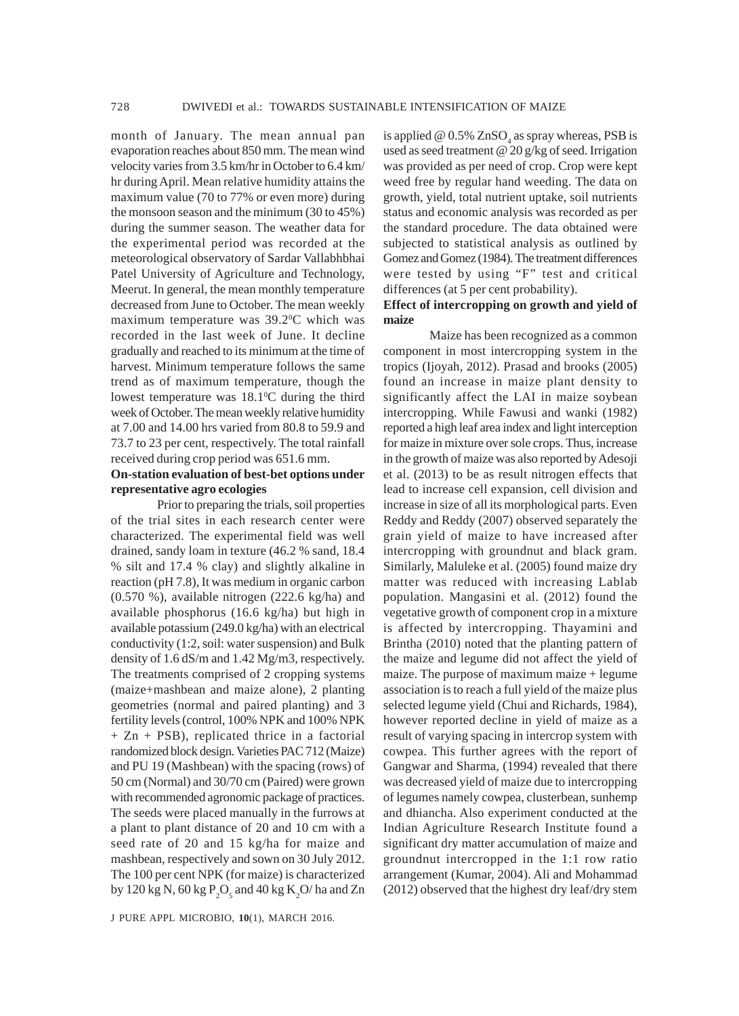month of January. The mean annual pan evaporation reaches about 850 mm. The mean wind velocity varies from 3.5 km/hr in October to 6.4 km/ hr during April. Mean relative humidity attains the maximum value (70 to 77% or even more) during the monsoon season and the minimum (30 to 45%) during the summer season. The weather data for the experimental period was recorded at the meteorological observatory of Sardar Vallabhbhai Patel University of Agriculture and Technology, Meerut. In general, the mean monthly temperature decreased from June to October. The mean weekly maximum temperature was 39.2°C which was recorded in the last week of June. It decline gradually and reached to its minimum at the time of harvest. Minimum temperature follows the same trend as of maximum temperature, though the lowest temperature was  $18.1^{\circ}$ C during the third week of October. The mean weekly relative humidity at 7.00 and 14.00 hrs varied from 80.8 to 59.9 and 73.7 to 23 per cent, respectively. The total rainfall received during crop period was 651.6 mm.

## **On-station evaluation of best-bet options under representative agro ecologies**

Prior to preparing the trials, soil properties of the trial sites in each research center were characterized. The experimental field was well drained, sandy loam in texture (46.2 % sand, 18.4 % silt and 17.4 % clay) and slightly alkaline in reaction (pH 7.8), It was medium in organic carbon (0.570 %), available nitrogen (222.6 kg/ha) and available phosphorus (16.6 kg/ha) but high in available potassium (249.0 kg/ha) with an electrical conductivity (1:2, soil: water suspension) and Bulk density of 1.6 dS/m and 1.42 Mg/m3, respectively. The treatments comprised of 2 cropping systems (maize+mashbean and maize alone), 2 planting geometries (normal and paired planting) and 3 fertility levels (control, 100% NPK and 100% NPK + Zn + PSB), replicated thrice in a factorial randomized block design. Varieties PAC 712 (Maize) and PU 19 (Mashbean) with the spacing (rows) of 50 cm (Normal) and 30/70 cm (Paired) were grown with recommended agronomic package of practices. The seeds were placed manually in the furrows at a plant to plant distance of 20 and 10 cm with a seed rate of 20 and 15 kg/ha for maize and mashbean, respectively and sown on 30 July 2012. The 100 per cent NPK (for maize) is characterized by 120 kg N, 60 kg  $P_2O_5$  and 40 kg K<sub>2</sub>O/ ha and Zn

J PURE APPL MICROBIO*,* **10**(1), MARCH 2016.

is applied @  $0.5\%$  ZnSO<sub>4</sub> as spray whereas, PSB is used as seed treatment @ 20 g/kg of seed. Irrigation was provided as per need of crop. Crop were kept weed free by regular hand weeding. The data on growth, yield, total nutrient uptake, soil nutrients status and economic analysis was recorded as per the standard procedure. The data obtained were subjected to statistical analysis as outlined by Gomez and Gomez (1984). The treatment differences were tested by using "F" test and critical differences (at 5 per cent probability).

## **Effect of intercropping on growth and yield of maize**

Maize has been recognized as a common component in most intercropping system in the tropics (Ijoyah, 2012). Prasad and brooks (2005) found an increase in maize plant density to significantly affect the LAI in maize soybean intercropping. While Fawusi and wanki (1982) reported a high leaf area index and light interception for maize in mixture over sole crops. Thus, increase in the growth of maize was also reported by Adesoji et al. (2013) to be as result nitrogen effects that lead to increase cell expansion, cell division and increase in size of all its morphological parts. Even Reddy and Reddy (2007) observed separately the grain yield of maize to have increased after intercropping with groundnut and black gram. Similarly, Maluleke et al. (2005) found maize dry matter was reduced with increasing Lablab population. Mangasini et al. (2012) found the vegetative growth of component crop in a mixture is affected by intercropping. Thayamini and Brintha (2010) noted that the planting pattern of the maize and legume did not affect the yield of maize. The purpose of maximum maize + legume association is to reach a full yield of the maize plus selected legume yield (Chui and Richards, 1984), however reported decline in yield of maize as a result of varying spacing in intercrop system with cowpea. This further agrees with the report of Gangwar and Sharma, (1994) revealed that there was decreased yield of maize due to intercropping of legumes namely cowpea, clusterbean, sunhemp and dhiancha. Also experiment conducted at the Indian Agriculture Research Institute found a significant dry matter accumulation of maize and groundnut intercropped in the 1:1 row ratio arrangement (Kumar, 2004). Ali and Mohammad (2012) observed that the highest dry leaf/dry stem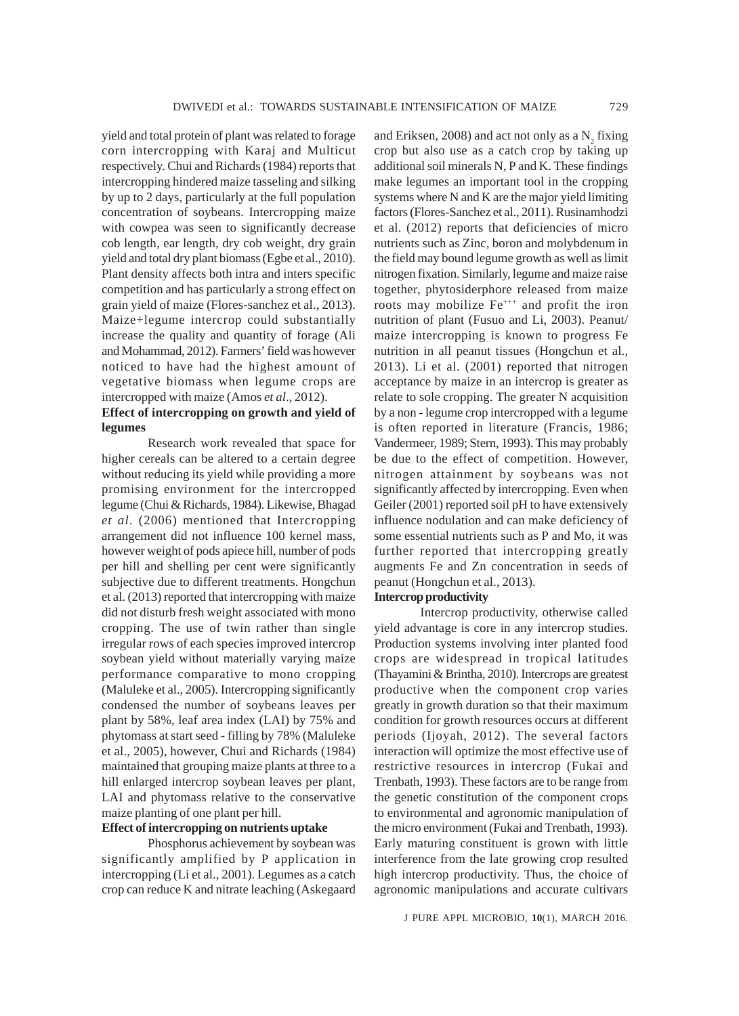yield and total protein of plant was related to forage corn intercropping with Karaj and Multicut respectively. Chui and Richards (1984) reports that intercropping hindered maize tasseling and silking by up to 2 days, particularly at the full population concentration of soybeans. Intercropping maize with cowpea was seen to significantly decrease cob length, ear length, dry cob weight, dry grain yield and total dry plant biomass (Egbe et al., 2010). Plant density affects both intra and inters specific competition and has particularly a strong effect on grain yield of maize (Flores-sanchez et al., 2013). Maize+legume intercrop could substantially increase the quality and quantity of forage (Ali and Mohammad, 2012). Farmers' field was however noticed to have had the highest amount of vegetative biomass when legume crops are intercropped with maize (Amos *et al*., 2012).

## **Effect of intercropping on growth and yield of legumes**

Research work revealed that space for higher cereals can be altered to a certain degree without reducing its yield while providing a more promising environment for the intercropped legume (Chui & Richards, 1984). Likewise, Bhagad *et al*. (2006) mentioned that Intercropping arrangement did not influence 100 kernel mass, however weight of pods apiece hill, number of pods per hill and shelling per cent were significantly subjective due to different treatments. Hongchun et al. (2013) reported that intercropping with maize did not disturb fresh weight associated with mono cropping. The use of twin rather than single irregular rows of each species improved intercrop soybean yield without materially varying maize performance comparative to mono cropping (Maluleke et al., 2005). Intercropping significantly condensed the number of soybeans leaves per plant by 58%, leaf area index (LAI) by 75% and phytomass at start seed - filling by 78% (Maluleke et al., 2005), however, Chui and Richards (1984) maintained that grouping maize plants at three to a hill enlarged intercrop soybean leaves per plant, LAI and phytomass relative to the conservative maize planting of one plant per hill.

# **Effect of intercropping on nutrients uptake**

Phosphorus achievement by soybean was significantly amplified by P application in intercropping (Li et al., 2001). Legumes as a catch crop can reduce K and nitrate leaching (Askegaard

and Eriksen, 2008) and act not only as a  $N_{2}$  fixing crop but also use as a catch crop by taking up additional soil minerals N, P and K. These findings make legumes an important tool in the cropping systems where N and K are the major yield limiting factors (Flores-Sanchez et al., 2011). Rusinamhodzi et al. (2012) reports that deficiencies of micro nutrients such as Zinc, boron and molybdenum in the field may bound legume growth as well as limit nitrogen fixation. Similarly, legume and maize raise together, phytosiderphore released from maize roots may mobilize Fe<sup>+++</sup> and profit the iron nutrition of plant (Fusuo and Li, 2003). Peanut/ maize intercropping is known to progress Fe nutrition in all peanut tissues (Hongchun et al., 2013). Li et al. (2001) reported that nitrogen acceptance by maize in an intercrop is greater as relate to sole cropping. The greater N acquisition by a non - legume crop intercropped with a legume is often reported in literature (Francis, 1986; Vandermeer, 1989; Stern, 1993). This may probably be due to the effect of competition. However, nitrogen attainment by soybeans was not significantly affected by intercropping. Even when Geiler (2001) reported soil pH to have extensively influence nodulation and can make deficiency of some essential nutrients such as P and Mo, it was further reported that intercropping greatly augments Fe and Zn concentration in seeds of peanut (Hongchun et al., 2013).

#### **Intercrop productivity**

Intercrop productivity, otherwise called yield advantage is core in any intercrop studies. Production systems involving inter planted food crops are widespread in tropical latitudes (Thayamini & Brintha, 2010). Intercrops are greatest productive when the component crop varies greatly in growth duration so that their maximum condition for growth resources occurs at different periods (Ijoyah, 2012). The several factors interaction will optimize the most effective use of restrictive resources in intercrop (Fukai and Trenbath, 1993). These factors are to be range from the genetic constitution of the component crops to environmental and agronomic manipulation of the micro environment (Fukai and Trenbath, 1993). Early maturing constituent is grown with little interference from the late growing crop resulted high intercrop productivity. Thus, the choice of agronomic manipulations and accurate cultivars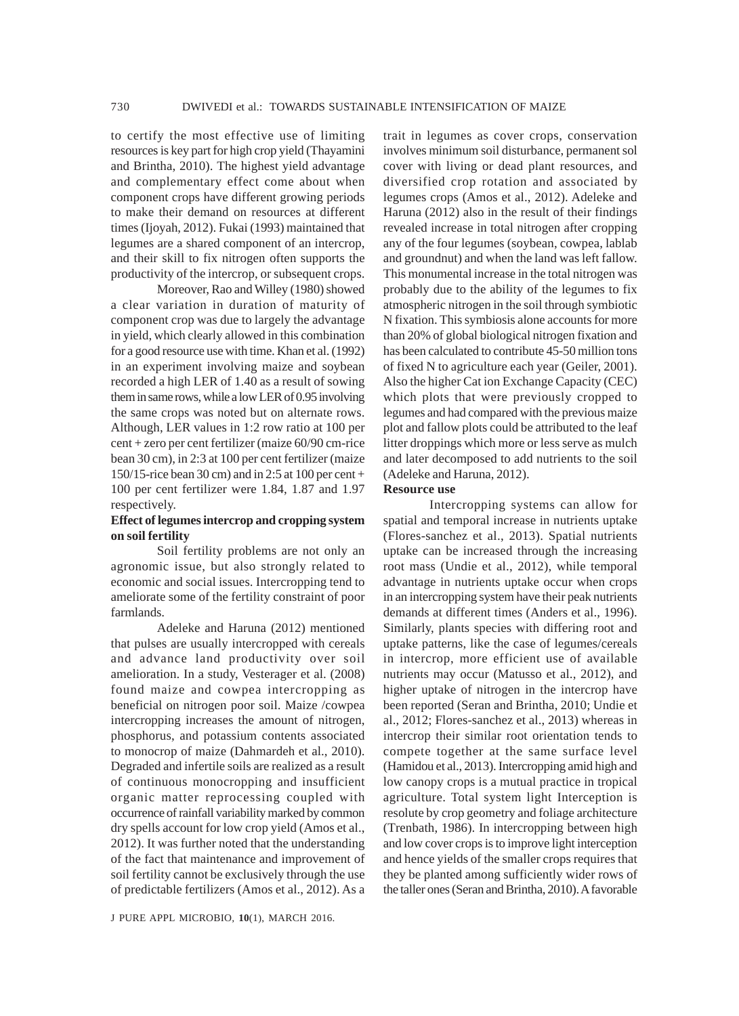to certify the most effective use of limiting resources is key part for high crop yield (Thayamini and Brintha, 2010). The highest yield advantage and complementary effect come about when component crops have different growing periods to make their demand on resources at different times (Ijoyah, 2012). Fukai (1993) maintained that legumes are a shared component of an intercrop, and their skill to fix nitrogen often supports the productivity of the intercrop, or subsequent crops.

Moreover, Rao and Willey (1980) showed a clear variation in duration of maturity of component crop was due to largely the advantage in yield, which clearly allowed in this combination for a good resource use with time. Khan et al. (1992) in an experiment involving maize and soybean recorded a high LER of 1.40 as a result of sowing them in same rows, while a low LER of 0.95 involving the same crops was noted but on alternate rows. Although, LER values in 1:2 row ratio at 100 per cent + zero per cent fertilizer (maize 60/90 cm-rice bean 30 cm), in 2:3 at 100 per cent fertilizer (maize 150/15-rice bean 30 cm) and in 2:5 at 100 per cent + 100 per cent fertilizer were 1.84, 1.87 and 1.97 respectively.

## **Effect of legumes intercrop and cropping system on soil fertility**

Soil fertility problems are not only an agronomic issue, but also strongly related to economic and social issues. Intercropping tend to ameliorate some of the fertility constraint of poor farmlands.

Adeleke and Haruna (2012) mentioned that pulses are usually intercropped with cereals and advance land productivity over soil amelioration. In a study, Vesterager et al. (2008) found maize and cowpea intercropping as beneficial on nitrogen poor soil. Maize /cowpea intercropping increases the amount of nitrogen, phosphorus, and potassium contents associated to monocrop of maize (Dahmardeh et al., 2010). Degraded and infertile soils are realized as a result of continuous monocropping and insufficient organic matter reprocessing coupled with occurrence of rainfall variability marked by common dry spells account for low crop yield (Amos et al., 2012). It was further noted that the understanding of the fact that maintenance and improvement of soil fertility cannot be exclusively through the use of predictable fertilizers (Amos et al., 2012). As a

trait in legumes as cover crops, conservation involves minimum soil disturbance, permanent sol cover with living or dead plant resources, and diversified crop rotation and associated by legumes crops (Amos et al., 2012). Adeleke and Haruna (2012) also in the result of their findings revealed increase in total nitrogen after cropping any of the four legumes (soybean, cowpea, lablab and groundnut) and when the land was left fallow. This monumental increase in the total nitrogen was probably due to the ability of the legumes to fix atmospheric nitrogen in the soil through symbiotic N fixation. This symbiosis alone accounts for more than 20% of global biological nitrogen fixation and has been calculated to contribute 45-50 million tons of fixed N to agriculture each year (Geiler, 2001). Also the higher Cat ion Exchange Capacity (CEC) which plots that were previously cropped to legumes and had compared with the previous maize plot and fallow plots could be attributed to the leaf litter droppings which more or less serve as mulch and later decomposed to add nutrients to the soil (Adeleke and Haruna, 2012).

#### **Resource use**

Intercropping systems can allow for spatial and temporal increase in nutrients uptake (Flores-sanchez et al., 2013). Spatial nutrients uptake can be increased through the increasing root mass (Undie et al., 2012), while temporal advantage in nutrients uptake occur when crops in an intercropping system have their peak nutrients demands at different times (Anders et al., 1996). Similarly, plants species with differing root and uptake patterns, like the case of legumes/cereals in intercrop, more efficient use of available nutrients may occur (Matusso et al., 2012), and higher uptake of nitrogen in the intercrop have been reported (Seran and Brintha, 2010; Undie et al., 2012; Flores-sanchez et al., 2013) whereas in intercrop their similar root orientation tends to compete together at the same surface level (Hamidou et al., 2013). Intercropping amid high and low canopy crops is a mutual practice in tropical agriculture. Total system light Interception is resolute by crop geometry and foliage architecture (Trenbath, 1986). In intercropping between high and low cover crops is to improve light interception and hence yields of the smaller crops requires that they be planted among sufficiently wider rows of the taller ones (Seran and Brintha, 2010). A favorable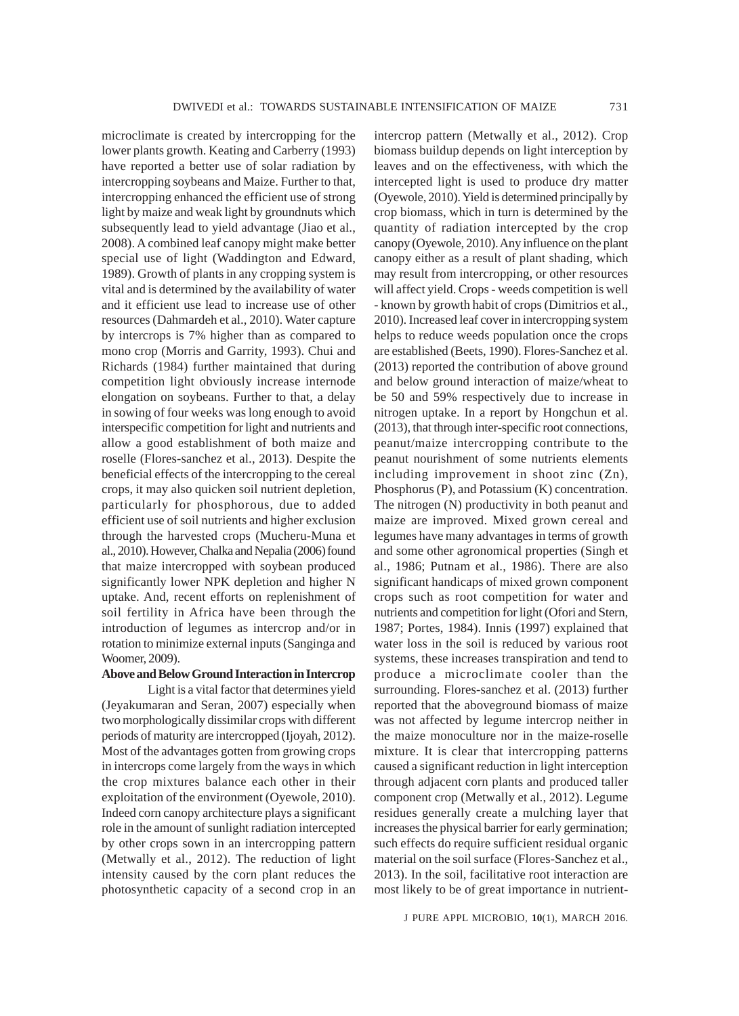microclimate is created by intercropping for the lower plants growth. Keating and Carberry (1993) have reported a better use of solar radiation by intercropping soybeans and Maize. Further to that, intercropping enhanced the efficient use of strong light by maize and weak light by groundnuts which subsequently lead to yield advantage (Jiao et al., 2008). A combined leaf canopy might make better special use of light (Waddington and Edward, 1989). Growth of plants in any cropping system is vital and is determined by the availability of water and it efficient use lead to increase use of other resources (Dahmardeh et al., 2010). Water capture by intercrops is 7% higher than as compared to mono crop (Morris and Garrity, 1993). Chui and Richards (1984) further maintained that during competition light obviously increase internode elongation on soybeans. Further to that, a delay in sowing of four weeks was long enough to avoid interspecific competition for light and nutrients and allow a good establishment of both maize and roselle (Flores-sanchez et al., 2013). Despite the beneficial effects of the intercropping to the cereal crops, it may also quicken soil nutrient depletion, particularly for phosphorous, due to added efficient use of soil nutrients and higher exclusion through the harvested crops (Mucheru-Muna et al., 2010). However, Chalka and Nepalia (2006) found that maize intercropped with soybean produced significantly lower NPK depletion and higher N uptake. And, recent efforts on replenishment of soil fertility in Africa have been through the introduction of legumes as intercrop and/or in rotation to minimize external inputs (Sanginga and Woomer, 2009).

### **Above and Below Ground Interaction in Intercrop**

Light is a vital factor that determines yield (Jeyakumaran and Seran, 2007) especially when two morphologically dissimilar crops with different periods of maturity are intercropped (Ijoyah, 2012). Most of the advantages gotten from growing crops in intercrops come largely from the ways in which the crop mixtures balance each other in their exploitation of the environment (Oyewole, 2010). Indeed corn canopy architecture plays a significant role in the amount of sunlight radiation intercepted by other crops sown in an intercropping pattern (Metwally et al., 2012). The reduction of light intensity caused by the corn plant reduces the photosynthetic capacity of a second crop in an intercrop pattern (Metwally et al., 2012). Crop biomass buildup depends on light interception by leaves and on the effectiveness, with which the intercepted light is used to produce dry matter (Oyewole, 2010). Yield is determined principally by crop biomass, which in turn is determined by the quantity of radiation intercepted by the crop canopy (Oyewole, 2010). Any influence on the plant canopy either as a result of plant shading, which may result from intercropping, or other resources will affect yield. Crops - weeds competition is well - known by growth habit of crops (Dimitrios et al., 2010). Increased leaf cover in intercropping system helps to reduce weeds population once the crops are established (Beets, 1990). Flores-Sanchez et al. (2013) reported the contribution of above ground and below ground interaction of maize/wheat to be 50 and 59% respectively due to increase in nitrogen uptake. In a report by Hongchun et al. (2013), that through inter-specific root connections, peanut/maize intercropping contribute to the peanut nourishment of some nutrients elements including improvement in shoot zinc (Zn), Phosphorus (P), and Potassium (K) concentration. The nitrogen (N) productivity in both peanut and maize are improved. Mixed grown cereal and legumes have many advantages in terms of growth and some other agronomical properties (Singh et al., 1986; Putnam et al., 1986). There are also significant handicaps of mixed grown component crops such as root competition for water and nutrients and competition for light (Ofori and Stern, 1987; Portes, 1984). Innis (1997) explained that water loss in the soil is reduced by various root systems, these increases transpiration and tend to produce a microclimate cooler than the surrounding. Flores-sanchez et al. (2013) further reported that the aboveground biomass of maize was not affected by legume intercrop neither in the maize monoculture nor in the maize-roselle mixture. It is clear that intercropping patterns caused a significant reduction in light interception through adjacent corn plants and produced taller component crop (Metwally et al., 2012). Legume residues generally create a mulching layer that increases the physical barrier for early germination; such effects do require sufficient residual organic material on the soil surface (Flores-Sanchez et al., 2013). In the soil, facilitative root interaction are most likely to be of great importance in nutrient-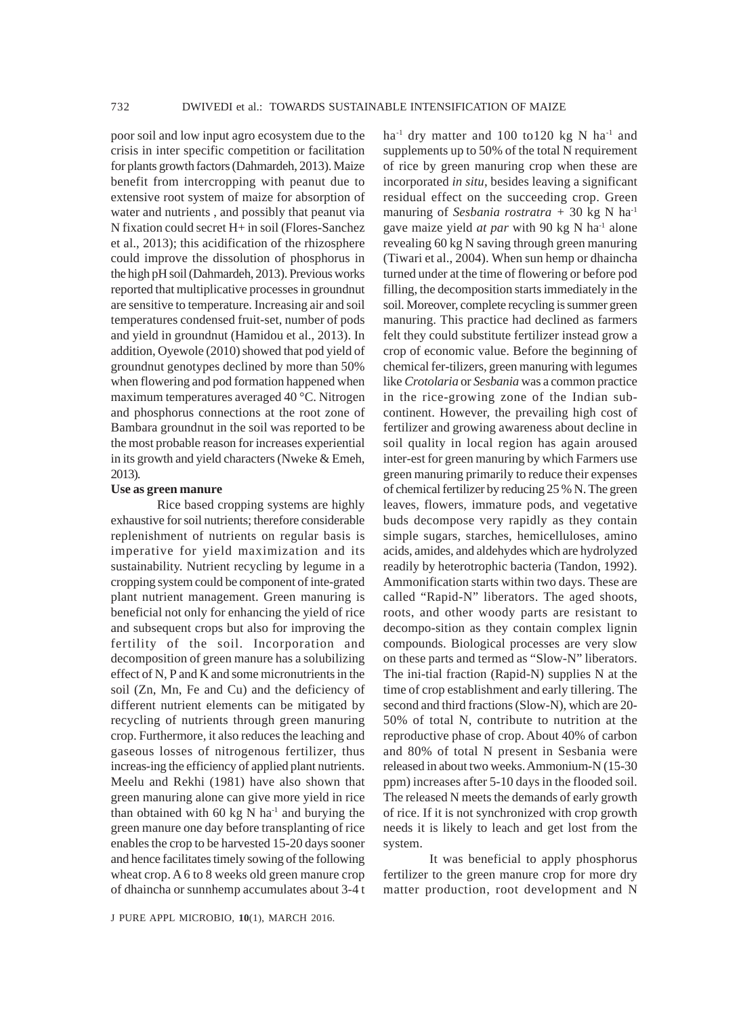poor soil and low input agro ecosystem due to the crisis in inter specific competition or facilitation for plants growth factors (Dahmardeh, 2013). Maize benefit from intercropping with peanut due to extensive root system of maize for absorption of water and nutrients , and possibly that peanut via N fixation could secret H+ in soil (Flores-Sanchez et al., 2013); this acidification of the rhizosphere could improve the dissolution of phosphorus in the high pH soil (Dahmardeh, 2013). Previous works reported that multiplicative processes in groundnut are sensitive to temperature. Increasing air and soil temperatures condensed fruit-set, number of pods and yield in groundnut (Hamidou et al., 2013). In addition, Oyewole (2010) showed that pod yield of groundnut genotypes declined by more than 50% when flowering and pod formation happened when maximum temperatures averaged 40 °C. Nitrogen and phosphorus connections at the root zone of Bambara groundnut in the soil was reported to be the most probable reason for increases experiential in its growth and yield characters (Nweke & Emeh, 2013).

#### **Use as green manure**

Rice based cropping systems are highly exhaustive for soil nutrients; therefore considerable replenishment of nutrients on regular basis is imperative for yield maximization and its sustainability. Nutrient recycling by legume in a cropping system could be component of inte-grated plant nutrient management. Green manuring is beneficial not only for enhancing the yield of rice and subsequent crops but also for improving the fertility of the soil. Incorporation and decomposition of green manure has a solubilizing effect of N, P and K and some micronutrients in the soil (Zn, Mn, Fe and Cu) and the deficiency of different nutrient elements can be mitigated by recycling of nutrients through green manuring crop. Furthermore, it also reduces the leaching and gaseous losses of nitrogenous fertilizer, thus increas-ing the efficiency of applied plant nutrients. Meelu and Rekhi (1981) have also shown that green manuring alone can give more yield in rice than obtained with 60 kg N ha $^{-1}$  and burying the green manure one day before transplanting of rice enables the crop to be harvested 15-20 days sooner and hence facilitates timely sowing of the following wheat crop. A 6 to 8 weeks old green manure crop of dhaincha or sunnhemp accumulates about 3-4 t residual effect on the succeeding crop. Green manuring of *Sesbania rostratra +* 30 kg N ha-1 gave maize yield *at par* with 90 kg N ha-1 alone revealing 60 kg N saving through green manuring (Tiwari et al., 2004). When sun hemp or dhaincha turned under at the time of flowering or before pod filling, the decomposition starts immediately in the soil. Moreover, complete recycling is summer green manuring. This practice had declined as farmers felt they could substitute fertilizer instead grow a crop of economic value. Before the beginning of chemical fer-tilizers, green manuring with legumes like *Crotolaria* or *Sesbania* was a common practice in the rice-growing zone of the Indian subcontinent. However, the prevailing high cost of fertilizer and growing awareness about decline in soil quality in local region has again aroused inter-est for green manuring by which Farmers use green manuring primarily to reduce their expenses of chemical fertilizer by reducing 25 % N. The green leaves, flowers, immature pods, and vegetative buds decompose very rapidly as they contain simple sugars, starches, hemicelluloses, amino acids, amides, and aldehydes which are hydrolyzed readily by heterotrophic bacteria (Tandon, 1992). Ammonification starts within two days. These are called "Rapid-N" liberators. The aged shoots, roots, and other woody parts are resistant to decompo-sition as they contain complex lignin compounds. Biological processes are very slow on these parts and termed as "Slow-N" liberators. The ini-tial fraction (Rapid-N) supplies N at the time of crop establishment and early tillering. The second and third fractions (Slow-N), which are 20- 50% of total N, contribute to nutrition at the reproductive phase of crop. About 40% of carbon and 80% of total N present in Sesbania were released in about two weeks. Ammonium-N (15-30 ppm) increases after 5-10 days in the flooded soil. The released N meets the demands of early growth of rice. If it is not synchronized with crop growth needs it is likely to leach and get lost from the system.

ha<sup>-1</sup> dry matter and 100 to120 kg N ha<sup>-1</sup> and supplements up to 50% of the total N requirement of rice by green manuring crop when these are incorporated *in situ*, besides leaving a significant

It was beneficial to apply phosphorus fertilizer to the green manure crop for more dry matter production, root development and N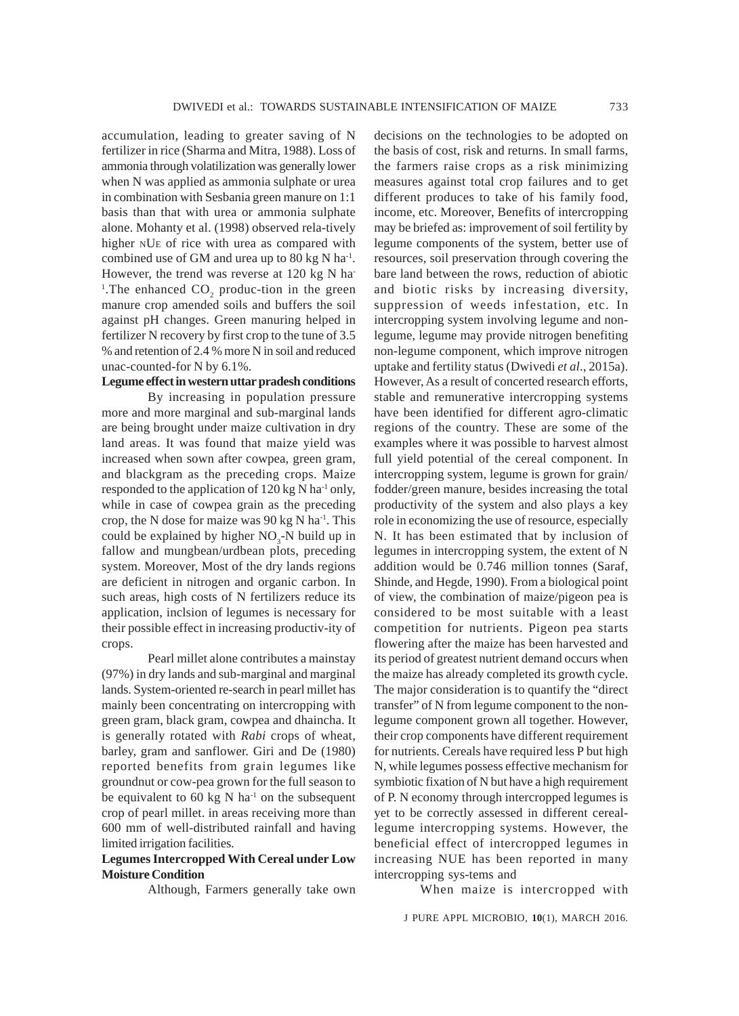accumulation, leading to greater saving of N fertilizer in rice (Sharma and Mitra, 1988). Loss of ammonia through volatilization was generally lower when N was applied as ammonia sulphate or urea in combination with Sesbania green manure on 1:1 basis than that with urea or ammonia sulphate alone. Mohanty et al. (1998) observed rela-tively higher NUE of rice with urea as compared with combined use of GM and urea up to 80 kg N ha<sup>-1</sup>. However, the trend was reverse at 120 kg N ha-<sup>1</sup>. The enhanced  $CO_2$  produc-tion in the green manure crop amended soils and buffers the soil against pH changes. Green manuring helped in fertilizer N recovery by first crop to the tune of 3.5 % and retention of 2.4 % more N in soil and reduced unac-counted-for N by 6.1%.

## **Legume effect in western uttar pradesh conditions**

By increasing in population pressure more and more marginal and sub-marginal lands are being brought under maize cultivation in dry land areas. It was found that maize yield was increased when sown after cowpea, green gram, and blackgram as the preceding crops. Maize responded to the application of 120 kg N ha<sup>-1</sup> only, while in case of cowpea grain as the preceding crop, the N dose for maize was  $90 \text{ kg N}$  ha<sup>-1</sup>. This could be explained by higher  $NO<sub>3</sub>$ -N build up in fallow and mungbean/urdbean plots, preceding system. Moreover, Most of the dry lands regions are deficient in nitrogen and organic carbon. In such areas, high costs of N fertilizers reduce its application, inclsion of legumes is necessary for their possible effect in increasing productiv-ity of crops.

Pearl millet alone contributes a mainstay (97%) in dry lands and sub-marginal and marginal lands. System-oriented re-search in pearl millet has mainly been concentrating on intercropping with green gram, black gram, cowpea and dhaincha. It is generally rotated with *Rabi* crops of wheat, barley, gram and sanflower. Giri and De (1980) reported benefits from grain legumes like groundnut or cow-pea grown for the full season to be equivalent to 60 kg N ha<sup>-1</sup> on the subsequent crop of pearl millet. in areas receiving more than 600 mm of well-distributed rainfall and having limited irrigation facilities.

## **Legumes Intercropped With Cereal under Low Moisture Condition**

Although, Farmers generally take own

decisions on the technologies to be adopted on the basis of cost, risk and returns. In small farms, the farmers raise crops as a risk minimizing measures against total crop failures and to get different produces to take of his family food, income, etc. Moreover, Benefits of intercropping may be briefed as: improvement of soil fertility by legume components of the system, better use of resources, soil preservation through covering the bare land between the rows, reduction of abiotic and biotic risks by increasing diversity, suppression of weeds infestation, etc. In intercropping system involving legume and nonlegume, legume may provide nitrogen benefiting non-legume component, which improve nitrogen uptake and fertility status (Dwivedi *et al*., 2015a). However, As a result of concerted research efforts, stable and remunerative intercropping systems have been identified for different agro-climatic regions of the country. These are some of the examples where it was possible to harvest almost full yield potential of the cereal component. In intercropping system, legume is grown for grain/ fodder/green manure, besides increasing the total productivity of the system and also plays a key role in economizing the use of resource, especially N. It has been estimated that by inclusion of legumes in intercropping system, the extent of N addition would be 0.746 million tonnes (Saraf, Shinde, and Hegde, 1990). From a biological point of view, the combination of maize/pigeon pea is considered to be most suitable with a least competition for nutrients. Pigeon pea starts flowering after the maize has been harvested and its period of greatest nutrient demand occurs when the maize has already completed its growth cycle. The major consideration is to quantify the "direct transfer" of N from legume component to the nonlegume component grown all together. However, their crop components have different requirement for nutrients. Cereals have required less P but high N, while legumes possess effective mechanism for symbiotic fixation of N but have a high requirement of P. N economy through intercropped legumes is yet to be correctly assessed in different cereallegume intercropping systems. However, the beneficial effect of intercropped legumes in increasing NUE has been reported in many intercropping sys-tems and

When maize is intercropped with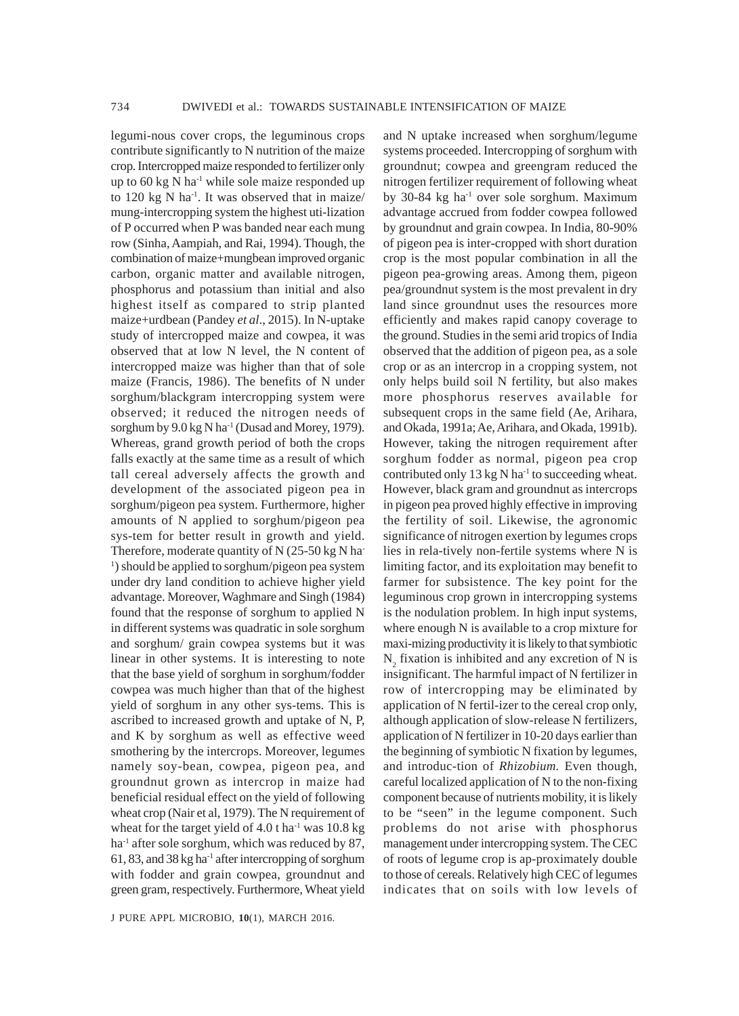legumi-nous cover crops, the leguminous crops contribute significantly to N nutrition of the maize crop. Intercropped maize responded to fertilizer only up to 60 kg N ha<sup>-1</sup> while sole maize responded up to  $120 \text{ kg N}$  ha<sup>-1</sup>. It was observed that in maize/ mung-intercropping system the highest uti-lization of P occurred when P was banded near each mung row (Sinha, Aampiah, and Rai, 1994). Though, the combination of maize+mungbean improved organic carbon, organic matter and available nitrogen, phosphorus and potassium than initial and also highest itself as compared to strip planted maize+urdbean (Pandey *et al*., 2015). In N-uptake study of intercropped maize and cowpea, it was observed that at low N level, the N content of intercropped maize was higher than that of sole maize (Francis, 1986). The benefits of N under sorghum/blackgram intercropping system were observed; it reduced the nitrogen needs of sorghum by 9.0 kg N ha<sup>-1</sup> (Dusad and Morey, 1979). Whereas, grand growth period of both the crops falls exactly at the same time as a result of which tall cereal adversely affects the growth and development of the associated pigeon pea in sorghum/pigeon pea system. Furthermore, higher amounts of N applied to sorghum/pigeon pea sys-tem for better result in growth and yield. Therefore, moderate quantity of  $N$  (25-50 kg N ha-<sup>1</sup>) should be applied to sorghum/pigeon pea system under dry land condition to achieve higher yield advantage. Moreover, Waghmare and Singh (1984) found that the response of sorghum to applied N in different systems was quadratic in sole sorghum and sorghum/ grain cowpea systems but it was linear in other systems. It is interesting to note that the base yield of sorghum in sorghum/fodder cowpea was much higher than that of the highest yield of sorghum in any other sys-tems. This is ascribed to increased growth and uptake of N, P, and K by sorghum as well as effective weed smothering by the intercrops. Moreover, legumes namely soy-bean, cowpea, pigeon pea, and groundnut grown as intercrop in maize had beneficial residual effect on the yield of following wheat crop (Nair et al, 1979). The N requirement of wheat for the target yield of  $4.0$  t ha<sup>-1</sup> was  $10.8$  kg ha<sup>-1</sup> after sole sorghum, which was reduced by 87, 61, 83, and 38 kg ha $^{-1}$  after intercropping of sorghum with fodder and grain cowpea, groundnut and green gram, respectively. Furthermore, Wheat yield

J PURE APPL MICROBIO*,* **10**(1), MARCH 2016.

and N uptake increased when sorghum/legume systems proceeded. Intercropping of sorghum with groundnut; cowpea and greengram reduced the nitrogen fertilizer requirement of following wheat by 30-84 kg ha-1 over sole sorghum. Maximum advantage accrued from fodder cowpea followed by groundnut and grain cowpea. In India, 80-90% of pigeon pea is inter-cropped with short duration crop is the most popular combination in all the pigeon pea-growing areas. Among them, pigeon pea/groundnut system is the most prevalent in dry land since groundnut uses the resources more efficiently and makes rapid canopy coverage to the ground. Studies in the semi arid tropics of India observed that the addition of pigeon pea, as a sole crop or as an intercrop in a cropping system, not only helps build soil N fertility, but also makes more phosphorus reserves available for subsequent crops in the same field (Ae, Arihara, and Okada, 1991a; Ae, Arihara, and Okada, 1991b). However, taking the nitrogen requirement after sorghum fodder as normal, pigeon pea crop contributed only  $13 \text{ kg N}$  ha<sup>-1</sup> to succeeding wheat. However, black gram and groundnut as intercrops in pigeon pea proved highly effective in improving the fertility of soil. Likewise, the agronomic significance of nitrogen exertion by legumes crops lies in rela-tively non-fertile systems where N is limiting factor, and its exploitation may benefit to farmer for subsistence. The key point for the leguminous crop grown in intercropping systems is the nodulation problem. In high input systems, where enough N is available to a crop mixture for maxi-mizing productivity it is likely to that symbiotic  $N_2$  fixation is inhibited and any excretion of N is insignificant. The harmful impact of N fertilizer in row of intercropping may be eliminated by application of N fertil-izer to the cereal crop only, although application of slow-release N fertilizers, application of N fertilizer in 10-20 days earlier than the beginning of symbiotic N fixation by legumes, and introduc-tion of *Rhizobium.* Even though, careful localized application of N to the non-fixing component because of nutrients mobility, it is likely to be "seen" in the legume component. Such problems do not arise with phosphorus management under intercropping system. The CEC of roots of legume crop is ap-proximately double to those of cereals. Relatively high CEC of legumes indicates that on soils with low levels of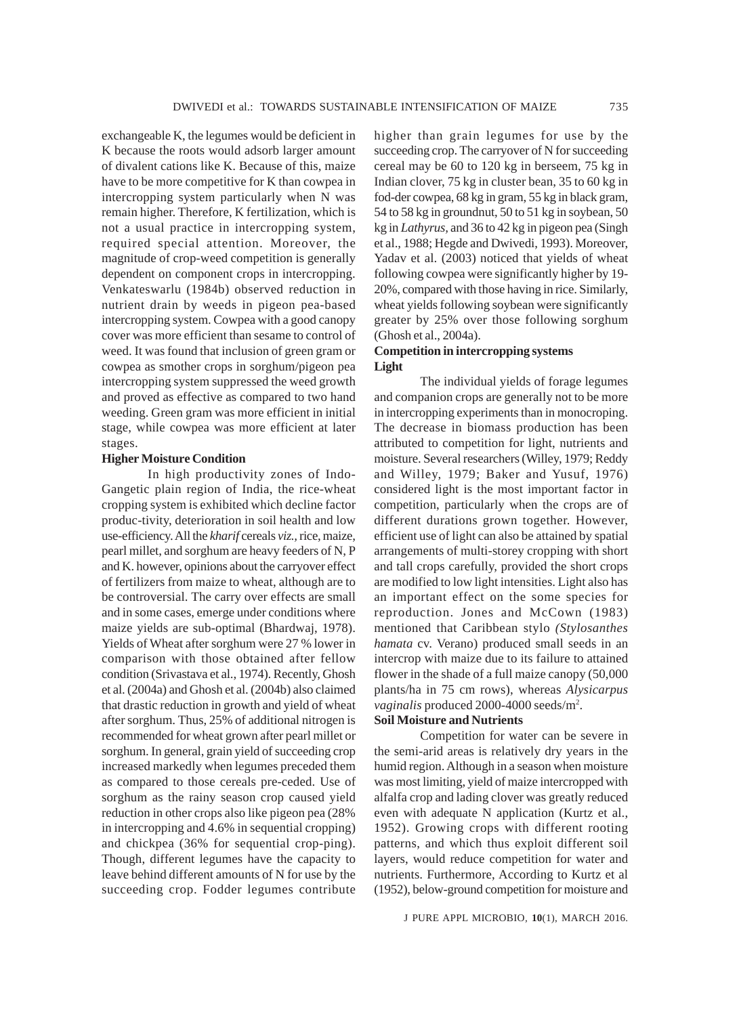exchangeable K, the legumes would be deficient in K because the roots would adsorb larger amount of divalent cations like K. Because of this, maize have to be more competitive for K than cowpea in intercropping system particularly when N was remain higher. Therefore, K fertilization, which is not a usual practice in intercropping system, required special attention. Moreover, the magnitude of crop-weed competition is generally dependent on component crops in intercropping. Venkateswarlu (1984b) observed reduction in nutrient drain by weeds in pigeon pea-based intercropping system. Cowpea with a good canopy cover was more efficient than sesame to control of weed. It was found that inclusion of green gram or cowpea as smother crops in sorghum/pigeon pea intercropping system suppressed the weed growth and proved as effective as compared to two hand weeding. Green gram was more efficient in initial stage, while cowpea was more efficient at later stages.

#### **Higher Moisture Condition**

In high productivity zones of Indo-Gangetic plain region of India, the rice-wheat cropping system is exhibited which decline factor produc-tivity, deterioration in soil health and low use-efficiency. All the *kharif* cereals *viz.,* rice, maize, pearl millet, and sorghum are heavy feeders of N, P and K. however, opinions about the carryover effect of fertilizers from maize to wheat, although are to be controversial. The carry over effects are small and in some cases, emerge under conditions where maize yields are sub-optimal (Bhardwaj, 1978). Yields of Wheat after sorghum were 27 % lower in comparison with those obtained after fellow condition (Srivastava et al., 1974). Recently, Ghosh et al. (2004a) and Ghosh et al. (2004b) also claimed that drastic reduction in growth and yield of wheat after sorghum. Thus, 25% of additional nitrogen is recommended for wheat grown after pearl millet or sorghum. In general, grain yield of succeeding crop increased markedly when legumes preceded them as compared to those cereals pre-ceded. Use of sorghum as the rainy season crop caused yield reduction in other crops also like pigeon pea (28% in intercropping and 4.6% in sequential cropping) and chickpea (36% for sequential crop-ping). Though, different legumes have the capacity to leave behind different amounts of N for use by the succeeding crop. Fodder legumes contribute

higher than grain legumes for use by the succeeding crop. The carryover of N for succeeding cereal may be 60 to 120 kg in berseem, 75 kg in Indian clover, 75 kg in cluster bean, 35 to 60 kg in fod-der cowpea, 68 kg in gram, 55 kg in black gram, 54 to 58 kg in groundnut, 50 to 51 kg in soybean, 50 kg in *Lathyrus,* and 36 to 42 kg in pigeon pea (Singh et al., 1988; Hegde and Dwivedi, 1993). Moreover, Yadav et al. (2003) noticed that yields of wheat following cowpea were significantly higher by 19- 20%, compared with those having in rice. Similarly, wheat yields following soybean were significantly greater by 25% over those following sorghum (Ghosh et al., 2004a).

## **Competition in intercropping systems Light**

The individual yields of forage legumes and companion crops are generally not to be more in intercropping experiments than in monocroping. The decrease in biomass production has been attributed to competition for light, nutrients and moisture. Several researchers (Willey, 1979; Reddy and Willey, 1979; Baker and Yusuf, 1976) considered light is the most important factor in competition, particularly when the crops are of different durations grown together. However, efficient use of light can also be attained by spatial arrangements of multi-storey cropping with short and tall crops carefully, provided the short crops are modified to low light intensities. Light also has an important effect on the some species for reproduction. Jones and McCown (1983) mentioned that Caribbean stylo *(Stylosanthes hamata* cv. Verano) produced small seeds in an intercrop with maize due to its failure to attained flower in the shade of a full maize canopy (50,000 plants/ha in 75 cm rows), whereas *Alysicarpus vaginalis* produced 2000-4000 seeds/m2 .

# **Soil Moisture and Nutrients**

Competition for water can be severe in the semi-arid areas is relatively dry years in the humid region. Although in a season when moisture was most limiting, yield of maize intercropped with alfalfa crop and lading clover was greatly reduced even with adequate N application (Kurtz et al., 1952). Growing crops with different rooting patterns, and which thus exploit different soil layers, would reduce competition for water and nutrients. Furthermore, According to Kurtz et al (1952), below-ground competition for moisture and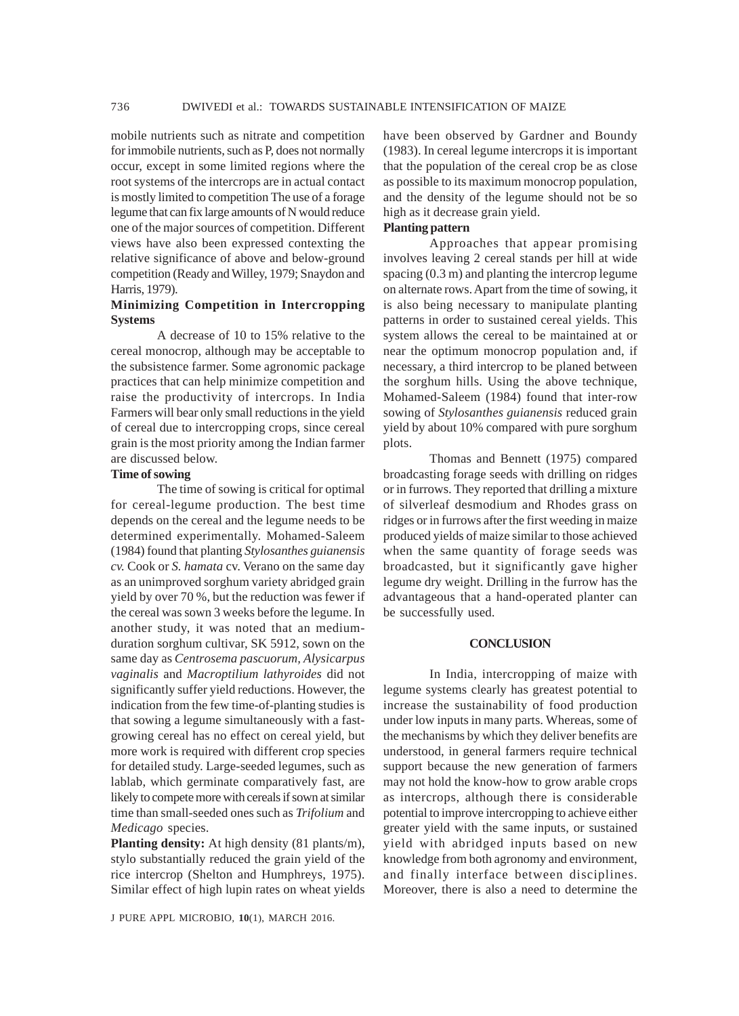mobile nutrients such as nitrate and competition for immobile nutrients, such as P, does not normally occur, except in some limited regions where the root systems of the intercrops are in actual contact is mostly limited to competition The use of a forage legume that can fix large amounts of N would reduce one of the major sources of competition. Different views have also been expressed contexting the relative significance of above and below-ground competition (Ready and Willey, 1979; Snaydon and Harris, 1979).

## **Minimizing Competition in Intercropping Systems**

A decrease of 10 to 15% relative to the cereal monocrop, although may be acceptable to the subsistence farmer. Some agronomic package practices that can help minimize competition and raise the productivity of intercrops. In India Farmers will bear only small reductions in the yield of cereal due to intercropping crops, since cereal grain is the most priority among the Indian farmer are discussed below.

#### **Time of sowing**

The time of sowing is critical for optimal for cereal-legume production. The best time depends on the cereal and the legume needs to be determined experimentally. Mohamed-Saleem (1984) found that planting *Stylosanthes guianensis cv.* Cook or *S. hamata* cv. Verano on the same day as an unimproved sorghum variety abridged grain yield by over 70 %, but the reduction was fewer if the cereal was sown 3 weeks before the legume. In another study, it was noted that an mediumduration sorghum cultivar, SK 5912, sown on the same day as *Centrosema pascuorum, Alysicarpus vaginalis* and *Macroptilium lathyroides* did not significantly suffer yield reductions. However, the indication from the few time-of-planting studies is that sowing a legume simultaneously with a fastgrowing cereal has no effect on cereal yield, but more work is required with different crop species for detailed study. Large-seeded legumes, such as lablab, which germinate comparatively fast, are likely to compete more with cereals if sown at similar time than small-seeded ones such as *Trifolium* and *Medicago* species.

**Planting density:** At high density (81 plants/m), stylo substantially reduced the grain yield of the rice intercrop (Shelton and Humphreys, 1975). Similar effect of high lupin rates on wheat yields

J PURE APPL MICROBIO*,* **10**(1), MARCH 2016.

have been observed by Gardner and Boundy (1983). In cereal legume intercrops it is important that the population of the cereal crop be as close as possible to its maximum monocrop population, and the density of the legume should not be so high as it decrease grain yield.

# **Planting pattern**

Approaches that appear promising involves leaving 2 cereal stands per hill at wide spacing (0.3 m) and planting the intercrop legume on alternate rows. Apart from the time of sowing, it is also being necessary to manipulate planting patterns in order to sustained cereal yields. This system allows the cereal to be maintained at or near the optimum monocrop population and, if necessary, a third intercrop to be planed between the sorghum hills. Using the above technique, Mohamed-Saleem (1984) found that inter-row sowing of *Stylosanthes guianensis* reduced grain yield by about 10% compared with pure sorghum plots.

Thomas and Bennett (1975) compared broadcasting forage seeds with drilling on ridges or in furrows. They reported that drilling a mixture of silverleaf desmodium and Rhodes grass on ridges or in furrows after the first weeding in maize produced yields of maize similar to those achieved when the same quantity of forage seeds was broadcasted, but it significantly gave higher legume dry weight. Drilling in the furrow has the advantageous that a hand-operated planter can be successfully used.

#### **CONCLUSION**

In India, intercropping of maize with legume systems clearly has greatest potential to increase the sustainability of food production under low inputs in many parts. Whereas, some of the mechanisms by which they deliver benefits are understood, in general farmers require technical support because the new generation of farmers may not hold the know-how to grow arable crops as intercrops, although there is considerable potential to improve intercropping to achieve either greater yield with the same inputs, or sustained yield with abridged inputs based on new knowledge from both agronomy and environment, and finally interface between disciplines. Moreover, there is also a need to determine the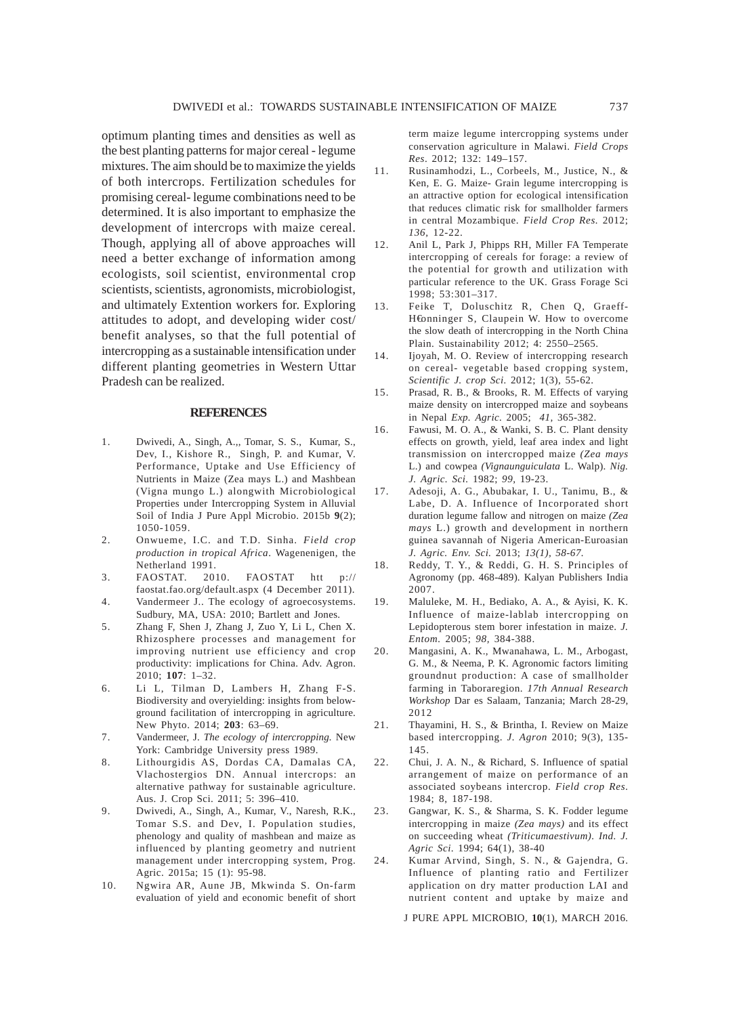optimum planting times and densities as well as the best planting patterns for major cereal - legume mixtures. The aim should be to maximize the yields of both intercrops. Fertilization schedules for promising cereal- legume combinations need to be determined. It is also important to emphasize the development of intercrops with maize cereal. Though, applying all of above approaches will need a better exchange of information among ecologists, soil scientist, environmental crop scientists, scientists, agronomists, microbiologist, and ultimately Extention workers for. Exploring attitudes to adopt, and developing wider cost/ benefit analyses, so that the full potential of intercropping as a sustainable intensification under different planting geometries in Western Uttar Pradesh can be realized.

#### **REFERENCES**

- 1. Dwivedi, A., Singh, A.,, Tomar, S. S., Kumar, S., Dev, I., Kishore R., Singh, P. and Kumar, V. Performance, Uptake and Use Efficiency of Nutrients in Maize (Zea mays L.) and Mashbean (Vigna mungo L.) alongwith Microbiological Properties under Intercropping System in Alluvial Soil of India J Pure Appl Microbio. 2015b **9**(2); 1050-1059.
- 2. Onwueme, I.C. and T.D. Sinha. *Field crop production in tropical Africa*. Wagenenigen, the Netherland 1991.
- 3. FAOSTAT. 2010. FAOSTAT htt p:// faostat.fao.org/default.aspx (4 December 2011).
- 4. Vandermeer J.. The ecology of agroecosystems. Sudbury, MA, USA: 2010; Bartlett and Jones.
- 5. Zhang F, Shen J, Zhang J, Zuo Y, Li L, Chen X. Rhizosphere processes and management for improving nutrient use efficiency and crop productivity: implications for China. Adv. Agron. 2010; **107**: 1–32.
- 6. Li L, Tilman D, Lambers H, Zhang F-S. Biodiversity and overyielding: insights from belowground facilitation of intercropping in agriculture. New Phyto. 2014; **203**: 63–69.
- 7. Vandermeer, J. *The ecology of intercropping.* New York: Cambridge University press 1989.
- 8. Lithourgidis AS, Dordas CA, Damalas CA, Vlachostergios DN. Annual intercrops: an alternative pathway for sustainable agriculture. Aus. J. Crop Sci. 2011; 5: 396–410.
- 9. Dwivedi, A., Singh, A., Kumar, V., Naresh, R.K., Tomar S.S. and Dev, I. Population studies, phenology and quality of mashbean and maize as influenced by planting geometry and nutrient management under intercropping system, Prog. Agric. 2015a; 15 (1): 95-98.
- 10. Ngwira AR, Aune JB, Mkwinda S. On-farm evaluation of yield and economic benefit of short

term maize legume intercropping systems under conservation agriculture in Malawi. *Field Crops Res*. 2012; 132: 149–157.

- 11. Rusinamhodzi, L., Corbeels, M., Justice, N., & Ken, E. G. Maize- Grain legume intercropping is an attractive option for ecological intensification that reduces climatic risk for smallholder farmers in central Mozambique. *Field Crop Res.* 2012; *136,* 12-22.
- 12. Anil L, Park J, Phipps RH, Miller FA Temperate intercropping of cereals for forage: a review of the potential for growth and utilization with particular reference to the UK. Grass Forage Sci 1998; 53:301–317.
- 13. Feike T, Doluschitz R, Chen Q, Graeff-H€onninger S, Claupein W. How to overcome the slow death of intercropping in the North China Plain. Sustainability 2012; 4: 2550–2565.
- 14. Ijoyah, M. O. Review of intercropping research on cereal- vegetable based cropping system, *Scientific J. crop Sci.* 2012; 1(3), 55-62.
- 15. Prasad, R. B., & Brooks, R. M. Effects of varying maize density on intercropped maize and soybeans in Nepal *Exp. Agric.* 2005; *41,* 365-382.
- 16. Fawusi, M. O. A., & Wanki, S. B. C. Plant density effects on growth, yield, leaf area index and light transmission on intercropped maize *(Zea mays* L.) and cowpea *(Vignaunguiculata* L. Walp). *Nig. J. Agric. Sci.* 1982; *99,* 19-23.
- 17. Adesoji, A. G., Abubakar, I. U., Tanimu, B., & Labe, D. A. Influence of Incorporated short duration legume fallow and nitrogen on maize *(Zea mays* L.) growth and development in northern guinea savannah of Nigeria American-Euroasian *J. Agric. Env. Sci.* 2013; *13(1), 58-67.*
- 18. Reddy, T. Y., & Reddi, G. H. S. Principles of Agronomy (pp. 468-489). Kalyan Publishers India 2007.
- 19. Maluleke, M. H., Bediako, A. A., & Ayisi, K. K. Influence of maize-lablab intercropping on Lepidopterous stem borer infestation in maize. *J. Entom.* 2005; *98,* 384-388.
- 20. Mangasini, A. K., Mwanahawa, L. M., Arbogast, G. M., & Neema, P. K. Agronomic factors limiting groundnut production: A case of smallholder farming in Taboraregion. *17th Annual Research Workshop* Dar es Salaam, Tanzania; March 28-29, 2012
- 21. Thayamini, H. S., & Brintha, I. Review on Maize based intercropping. *J. Agron* 2010; 9(3), 135- 145.
- 22. Chui, J. A. N., & Richard, S. Influence of spatial arrangement of maize on performance of an associated soybeans intercrop. *Field crop Res.* 1984; 8, 187-198.
- 23. Gangwar, K. S., & Sharma, S. K. Fodder legume intercropping in maize *(Zea mays)* and its effect on succeeding wheat *(Triticumaestivum). Ind. J. Agric Sci*. 1994; 64(1), 38-40
- 24. Kumar Arvind, Singh, S. N., & Gajendra, G. Influence of planting ratio and Fertilizer application on dry matter production LAI and nutrient content and uptake by maize and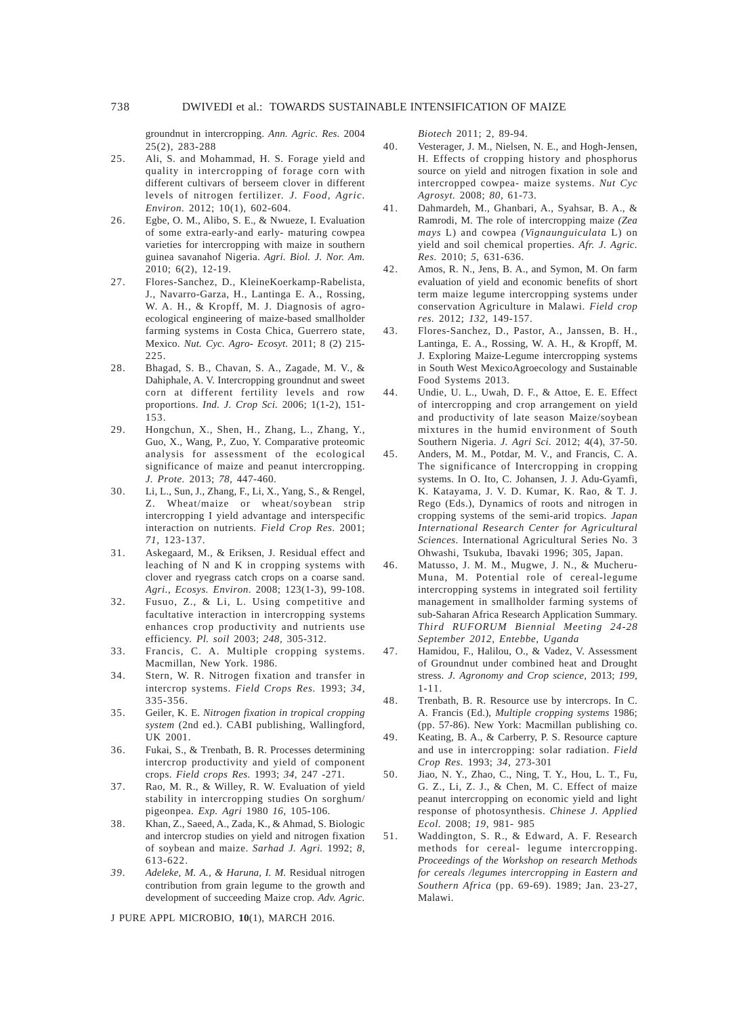groundnut in intercropping. *Ann. Agric. Res.* 2004  $25(2)$ , 283-288

- 25. Ali, S. and Mohammad, H. S. Forage yield and quality in intercropping of forage corn with different cultivars of berseem clover in different levels of nitrogen fertilizer. *J. Food, Agric. Environ.* 2012; 10(1), 602-604.
- 26. Egbe, O. M., Alibo, S. E., & Nwueze, I. Evaluation of some extra-early-and early- maturing cowpea varieties for intercropping with maize in southern guinea savanahof Nigeria. *Agri. Biol. J. Nor. Am.* 2010; 6(2), 12-19.
- 27. Flores-Sanchez, D., KleineKoerkamp-Rabelista, J., Navarro-Garza, H., Lantinga E. A., Rossing, W. A. H., & Kropff, M. J. Diagnosis of agroecological engineering of maize-based smallholder farming systems in Costa Chica, Guerrero state, Mexico. *Nut. Cyc. Agro- Ecosyt.* 2011; 8 (2) 215- 225.
- 28. Bhagad, S. B., Chavan, S. A., Zagade, M. V., & Dahiphale, A. V. Intercropping groundnut and sweet corn at different fertility levels and row proportions. *Ind. J. Crop Sci.* 2006; 1(1-2), 151- 153.
- 29. Hongchun, X., Shen, H., Zhang, L., Zhang, Y., Guo, X., Wang, P., Zuo, Y. Comparative proteomic analysis for assessment of the ecological significance of maize and peanut intercropping. *J. Prote.* 2013; *78,* 447-460.
- 30. Li, L., Sun, J., Zhang, F., Li, X., Yang, S., & Rengel, Z. Wheat/maize or wheat/soybean strip intercropping I yield advantage and interspecific interaction on nutrients*. Field Crop Res.* 2001; *71,* 123-137.
- 31. Askegaard, M., & Eriksen, J. Residual effect and leaching of N and K in cropping systems with clover and ryegrass catch crops on a coarse sand. *Agri., Ecosys. Environ.* 2008; 123(1-3), 99-108.
- 32. Fusuo, Z., & Li, L. Using competitive and facultative interaction in intercropping systems enhances crop productivity and nutrients use efficiency. *Pl. soil* 2003; *248,* 305-312.
- 33. Francis, C. A. Multiple cropping systems. Macmillan, New York. 1986.
- 34. Stern, W. R. Nitrogen fixation and transfer in intercrop systems. *Field Crops Res.* 1993; *34,* 335-356.
- 35. Geiler, K. E. *Nitrogen fixation in tropical cropping system* (2nd ed.). CABI publishing, Wallingford, UK 2001.
- 36. Fukai, S., & Trenbath, B. R. Processes determining intercrop productivity and yield of component crops. *Field crops Res.* 1993; *34,* 247 -271.
- 37. Rao, M. R., & Willey, R. W. Evaluation of yield stability in intercropping studies On sorghum/ pigeonpea. *Exp. Agri* 1980 *16,* 105-106.
- 38. Khan, Z., Saeed, A., Zada, K., & Ahmad, S. Biologic and intercrop studies on yield and nitrogen fixation of soybean and maize. *Sarhad J. Agri.* 1992; *8,* 613-622.
- *39. Adeleke, M. A., & Haruna, I. M.* Residual nitrogen contribution from grain legume to the growth and development of succeeding Maize crop. *Adv. Agric.*

J PURE APPL MICROBIO*,* **10**(1), MARCH 2016.

*Biotech* 2011; 2, 89-94.

- 40. Vesterager, J. M., Nielsen, N. E., and Hogh-Jensen, H. Effects of cropping history and phosphorus source on yield and nitrogen fixation in sole and intercropped cowpea- maize systems. *Nut Cyc Agrosyt.* 2008; *80,* 61-73.
- 41. Dahmardeh, M., Ghanbari, A., Syahsar, B. A., & Ramrodi, M. The role of intercropping maize *(Zea mays* L) and cowpea *(Vignaunguiculata* L) on yield and soil chemical properties. *Afr. J. Agric. Res.* 2010; *5,* 631-636.
- 42. Amos, R. N., Jens, B. A., and Symon, M. On farm evaluation of yield and economic benefits of short term maize legume intercropping systems under conservation Agriculture in Malawi. *Field crop res.* 2012; *132,* 149-157.
- 43. Flores-Sanchez, D., Pastor, A., Janssen, B. H., Lantinga, E. A., Rossing, W. A. H., & Kropff, M. J. Exploring Maize-Legume intercropping systems in South West MexicoAgroecology and Sustainable Food Systems 2013.
- 44. Undie, U. L., Uwah, D. F., & Attoe, E. E. Effect of intercropping and crop arrangement on yield and productivity of late season Maize/soybean mixtures in the humid environment of South Southern Nigeria. *J. Agri Sci.* 2012; 4(4), 37-50.
- 45. Anders, M. M., Potdar, M. V., and Francis, C. A. The significance of Intercropping in cropping systems. In O. Ito, C. Johansen, J. J. Adu-Gyamfi, K. Katayama, J. V. D. Kumar, K. Rao, & T. J. Rego (Eds.), Dynamics of roots and nitrogen in cropping systems of the semi-arid tropics*. Japan International Research Center for Agricultural Sciences.* International Agricultural Series No. 3 Ohwashi, Tsukuba, Ibavaki 1996; 305, Japan.
- 46. Matusso, J. M. M., Mugwe, J. N., & Mucheru-Muna, M. Potential role of cereal-legume intercropping systems in integrated soil fertility management in smallholder farming systems of sub-Saharan Africa Research Application Summary. *Third RUFORUM Biennial Meeting 24-28 September 2012, Entebbe, Uganda*
- 47. Hamidou, F., Halilou, O., & Vadez, V. Assessment of Groundnut under combined heat and Drought stress. *J. Agronomy and Crop science,* 2013; *199,* 1-11.
- 48. Trenbath, B. R. Resource use by intercrops. In C. A. Francis (Ed.), *Multiple cropping systems* 1986; (pp. 57-86). New York: Macmillan publishing co.
- 49. Keating, B. A., & Carberry, P. S. Resource capture and use in intercropping: solar radiation. *Field Crop Res.* 1993; *34,* 273-301
- 50. Jiao, N. Y., Zhao, C., Ning, T. Y., Hou, L. T., Fu, G. Z., Li, Z. J., & Chen, M. C. Effect of maize peanut intercropping on economic yield and light response of photosynthesis. *Chinese J. Applied Ecol.* 2008; *19,* 981- 985
- 51. Waddington, S. R., & Edward, A. F. Research methods for cereal- legume intercropping. *Proceedings of the Workshop on research Methods for cereals /legumes intercropping in Eastern and Southern Africa* (pp. 69-69). 1989; Jan. 23-27, Malawi.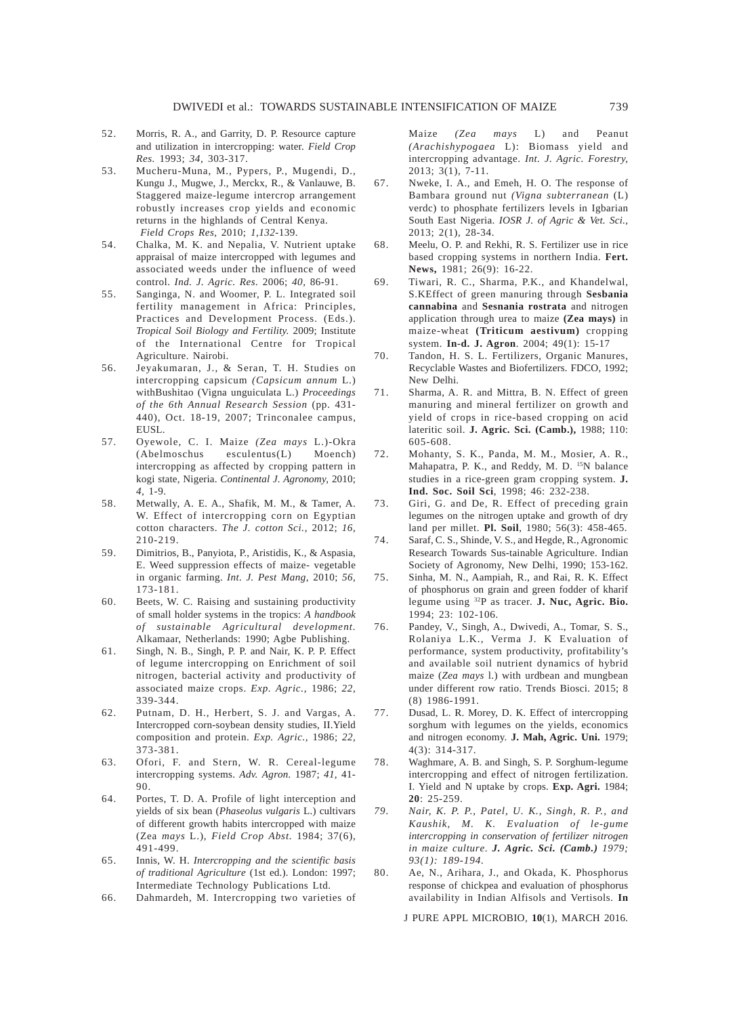- 52. Morris, R. A., and Garrity, D. P. Resource capture and utilization in intercropping: water. *Field Crop Res.* 1993; *34,* 303-317.
- 53. Mucheru-Muna, M., Pypers, P., Mugendi, D., Kungu J., Mugwe, J., Merckx, R., & Vanlauwe, B. Staggered maize-legume intercrop arrangement robustly increases crop yields and economic returns in the highlands of Central Kenya. *Field Crops Res,* 2010; *1,132*-139.
- 54. Chalka, M. K. and Nepalia, V. Nutrient uptake appraisal of maize intercropped with legumes and associated weeds under the influence of weed control. *Ind. J. Agric. Res.* 2006; *40,* 86-91.
- 55. Sanginga, N. and Woomer, P. L. Integrated soil fertility management in Africa: Principles, Practices and Development Process. (Eds.). *Tropical Soil Biology and Fertility.* 2009; Institute of the International Centre for Tropical Agriculture. Nairobi.
- 56. Jeyakumaran, J., & Seran, T. H. Studies on intercropping capsicum *(Capsicum annum* L.) withBushitao (Vigna unguiculata L.) *Proceedings of the 6th Annual Research Session* (pp. 431- 440), Oct. 18-19, 2007; Trinconalee campus, EUSL.
- 57. Oyewole, C. I. Maize *(Zea mays* L.)-Okra (Abelmoschus esculentus(L) Moench) intercropping as affected by cropping pattern in kogi state, Nigeria. *Continental J. Agronomy,* 2010; *4,* 1-9.
- 58. Metwally, A. E. A., Shafik, M. M., & Tamer, A. W. Effect of intercropping corn on Egyptian cotton characters. *The J. cotton Sci.,* 2012; *16,* 210-219.
- 59. Dimitrios, B., Panyiota, P., Aristidis, K., & Aspasia, E. Weed suppression effects of maize- vegetable in organic farming. *Int. J. Pest Mang,* 2010; *56,* 173-181.
- 60. Beets, W. C. Raising and sustaining productivity of small holder systems in the tropics: *A handbook of sustainable Agricultural development.* Alkamaar, Netherlands: 1990; Agbe Publishing.
- 61. Singh, N. B., Singh, P. P. and Nair, K. P. P. Effect of legume intercropping on Enrichment of soil nitrogen, bacterial activity and productivity of associated maize crops. *Exp. Agric.,* 1986; *22,* 339-344.
- 62. Putnam, D. H., Herbert, S. J. and Vargas, A. Intercropped corn-soybean density studies, II.Yield composition and protein. *Exp. Agric.,* 1986; *22,* 373-381.
- 63. Ofori, F. and Stern, W. R. Cereal-legume intercropping systems. *Adv. Agron.* 1987; *41,* 41- 90.
- 64. Portes, T. D. A. Profile of light interception and yields of six bean (*Phaseolus vulgaris* L.) cultivars of different growth habits intercropped with maize (Zea *mays* L.), *Field Crop Abst.* 1984; 37(6), 491-499.
- 65. Innis, W. H. *Intercropping and the scientific basis of traditional Agriculture* (1st ed.). London: 1997; Intermediate Technology Publications Ltd.
- 66. Dahmardeh, M. Intercropping two varieties of

Maize *(Zea mays* L) and Peanut *(Arachishypogaea* L): Biomass yield and intercropping advantage. *Int. J. Agric. Forestry,* 2013; 3(1), 7-11.

- 67. Nweke, I. A., and Emeh, H. O. The response of Bambara ground nut *(Vigna subterranean* (L) verdc) to phosphate fertilizers levels in Igbarian South East Nigeria. *IOSR J. of Agric & Vet. Sci.,* 2013; 2(1), 28-34.
- 68. Meelu, O. P. and Rekhi, R. S. Fertilizer use in rice based cropping systems in northern India. **Fert. News,** 1981; 26(9): 16-22.
- 69. Tiwari, R. C., Sharma, P.K., and Khandelwal, S.KEffect of green manuring through **Sesbania cannabina** and **Sesnania rostrata** and nitrogen application through urea to maize **(Zea mays)** in maize-wheat **(Triticum aestivum)** cropping system. **In-d. J. Agron**. 2004; 49(1): 15-17
- 70. Tandon, H. S. L. Fertilizers, Organic Manures, Recyclable Wastes and Biofertilizers. FDCO, 1992; New Delhi.
- 71. Sharma, A. R. and Mittra, B. N. Effect of green manuring and mineral fertilizer on growth and yield of crops in rice-based cropping on acid lateritic soil. **J. Agric. Sci. (Camb.),** 1988; 110: 605-608.
- 72. Mohanty, S. K., Panda, M. M., Mosier, A. R., Mahapatra, P. K., and Reddy, M. D. <sup>15</sup>N balance studies in a rice-green gram cropping system. **J. Ind. Soc. Soil Sci**, 1998; 46: 232-238.
- 73. Giri, G. and De, R. Effect of preceding grain legumes on the nitrogen uptake and growth of dry land per millet. **Pl. Soil**, 1980; 56(3): 458-465.
- 74. Saraf, C. S., Shinde, V. S., and Hegde, R., Agronomic Research Towards Sus-tainable Agriculture. Indian Society of Agronomy, New Delhi, 1990; 153-162.
- 75. Sinha, M. N., Aampiah, R., and Rai, R. K. Effect of phosphorus on grain and green fodder of kharif legume using 32P as tracer. **J. Nuc, Agric. Bio.** 1994; 23: 102-106.
- 76. Pandey, V., Singh, A., Dwivedi, A., Tomar, S. S., Rolaniya L.K., Verma J. K Evaluation of performance, system productivity, profitability's and available soil nutrient dynamics of hybrid maize (*Zea mays* l.) with urdbean and mungbean under different row ratio. Trends Biosci. 2015; 8 (8) 1986-1991.
- 77. Dusad, L. R. Morey, D. K. Effect of intercropping sorghum with legumes on the yields, economics and nitrogen economy. **J. Mah, Agric. Uni.** 1979; 4(3): 314-317.
- 78. Waghmare, A. B. and Singh, S. P. Sorghum-legume intercropping and effect of nitrogen fertilization. I. Yield and N uptake by crops. **Exp. Agri.** 1984; **20**: 25-259.
- *79. Nair, K. P. P., Patel, U. K., Singh, R. P., and Kaushik, M. K. Evaluation of le-gume intercropping in conservation of fertilizer nitrogen in maize culture*. *J. Agric. Sci. (Camb.) 1979; 93(1): 189-194.*
- 80. Ae, N., Arihara, J., and Okada, K. Phosphorus response of chickpea and evaluation of phosphorus availability in Indian Alfisols and Vertisols. **In**